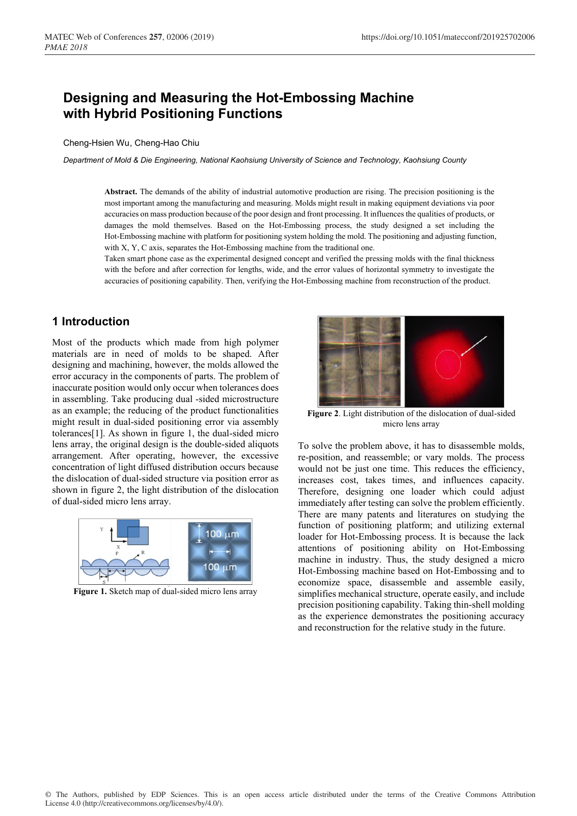# **Designing and Measuring the Hot-Embossing Machine with Hybrid Positioning Functions**

#### Cheng-Hsien Wu, Cheng-Hao Chiu

*Department of Mold & Die Engineering, National Kaohsiung University of Science and Technology, Kaohsiung County*

**Abstract.** The demands of the ability of industrial automotive production are rising. The precision positioning is the most important among the manufacturing and measuring. Molds might result in making equipment deviations via poor accuracies on mass production because of the poor design and front processing. It influences the qualities of products, or damages the mold themselves. Based on the Hot-Embossing process, the study designed a set including the Hot-Embossing machine with platform for positioning system holding the mold. The positioning and adjusting function, with X, Y, C axis, separates the Hot-Embossing machine from the traditional one.

Taken smart phone case as the experimental designed concept and verified the pressing molds with the final thickness with the before and after correction for lengths, wide, and the error values of horizontal symmetry to investigate the accuracies of positioning capability. Then, verifying the Hot-Embossing machine from reconstruction of the product.

# **1 Introduction**

Most of the products which made from high polymer materials are in need of molds to be shaped. After designing and machining, however, the molds allowed the error accuracy in the components of parts. The problem of inaccurate position would only occur when tolerances does in assembling. Take producing dual -sided microstructure as an example; the reducing of the product functionalities might result in dual-sided positioning error via assembly tolerances[1]. As shown in figure 1, the dual-sided micro lens array, the original design is the double-sided aliquots arrangement. After operating, however, the excessive concentration of light diffused distribution occurs because the dislocation of dual-sided structure via position error as shown in figure 2, the light distribution of the dislocation of dual-sided micro lens array.



**Figure 1.** Sketch map of dual-sided micro lens array



**Figure 2**. Light distribution of the dislocation of dual-sided micro lens array

To solve the problem above, it has to disassemble molds, re-position, and reassemble; or vary molds. The process would not be just one time. This reduces the efficiency, increases cost, takes times, and influences capacity. Therefore, designing one loader which could adjust immediately after testing can solve the problem efficiently. There are many patents and literatures on studying the function of positioning platform; and utilizing external loader for Hot-Embossing process. It is because the lack attentions of positioning ability on Hot-Embossing machine in industry. Thus, the study designed a micro Hot-Embossing machine based on Hot-Embossing and to economize space, disassemble and assemble easily, simplifies mechanical structure, operate easily, and include precision positioning capability. Taking thin-shell molding as the experience demonstrates the positioning accuracy and reconstruction for the relative study in the future.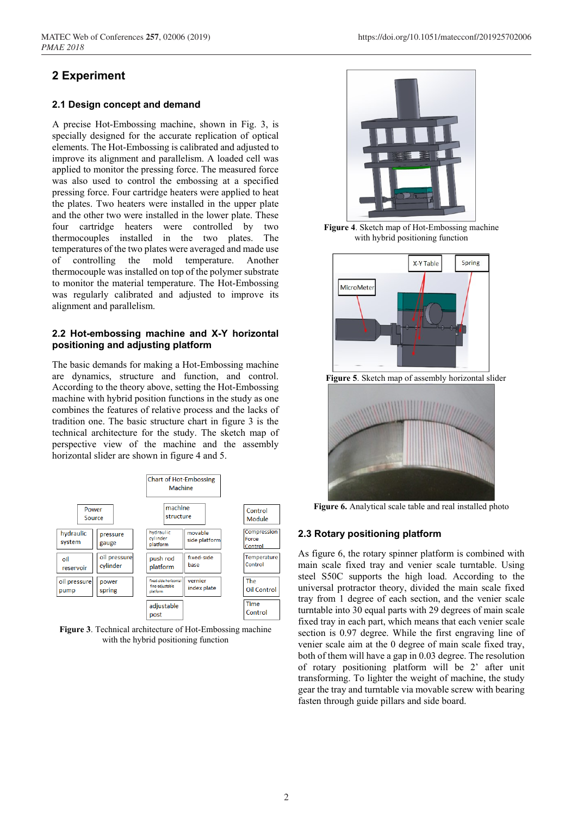# **2 Experiment**

## **2.1 Design concept and demand**

A precise Hot-Embossing machine, shown in Fig. 3, is specially designed for the accurate replication of optical elements. The Hot-Embossing is calibrated and adjusted to improve its alignment and parallelism. A loaded cell was applied to monitor the pressing force. The measured force was also used to control the embossing at a specified pressing force. Four cartridge heaters were applied to heat the plates. Two heaters were installed in the upper plate and the other two were installed in the lower plate. These four cartridge heaters were controlled by two thermocouples installed in the two plates. The temperatures of the two plates were averaged and made use of controlling the mold temperature. Another thermocouple was installed on top of the polymer substrate to monitor the material temperature. The Hot-Embossing was regularly calibrated and adjusted to improve its alignment and parallelism.

## **2.2 Hot-embossing machine and X-Y horizontal positioning and adjusting platform**

The basic demands for making a Hot-Embossing machine are dynamics, structure and function, and control. According to the theory above, setting the Hot-Embossing machine with hybrid position functions in the study as one combines the features of relative process and the lacks of tradition one. The basic structure chart in figure 3 is the technical architecture for the study. The sketch map of perspective view of the machine and the assembly horizontal slider are shown in figure 4 and 5.



**Figure 3**. Technical architecture of Hot-Embossing machine with the hybrid positioning function



**Figure 4**. Sketch map of Hot-Embossing machine with hybrid positioning function



**Figure 5**. Sketch map of assembly horizontal slider



**Figure 6.** Analytical scale table and real installed photo

# **2.3 Rotary positioning platform**

As figure 6, the rotary spinner platform is combined with main scale fixed tray and venier scale turntable. Using steel S50C supports the high load. According to the universal protractor theory, divided the main scale fixed tray from 1 degree of each section, and the venier scale turntable into 30 equal parts with 29 degrees of main scale fixed tray in each part, which means that each venier scale section is 0.97 degree. While the first engraving line of venier scale aim at the 0 degree of main scale fixed tray, both of them will have a gap in 0.03 degree. The resolution of rotary positioning platform will be 2' after unit transforming. To lighter the weight of machine, the study gear the tray and turntable via movable screw with bearing fasten through guide pillars and side board.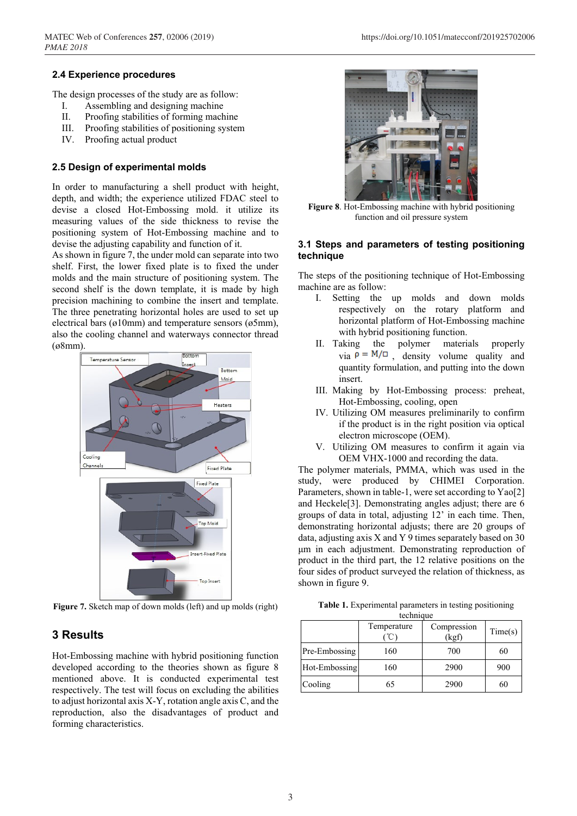### **2.4 Experience procedures**

The design processes of the study are as follow:

- I. Assembling and designing machine
- II. Proofing stabilities of forming machine
- III. Proofing stabilities of positioning system
- IV. Proofing actual product

#### **2.5 Design of experimental molds**

In order to manufacturing a shell product with height, depth, and width; the experience utilized FDAC steel to devise a closed Hot-Embossing mold. it utilize its measuring values of the side thickness to revise the positioning system of Hot-Embossing machine and to devise the adjusting capability and function of it.

As shown in figure 7, the under mold can separate into two shelf. First, the lower fixed plate is to fixed the under molds and the main structure of positioning system. The second shelf is the down template, it is made by high precision machining to combine the insert and template. The three penetrating horizontal holes are used to set up electrical bars (ø10mm) and temperature sensors (ø5mm), also the cooling channel and waterways connector thread (ø8mm).



**Figure 7.** Sketch map of down molds (left) and up molds (right)

# **3 Results**

Hot-Embossing machine with hybrid positioning function developed according to the theories shown as figure 8 mentioned above. It is conducted experimental test respectively. The test will focus on excluding the abilities to adjust horizontal axis X-Y, rotation angle axis C, and the reproduction, also the disadvantages of product and forming characteristics.



**Figure 8**. Hot-Embossing machine with hybrid positioning function and oil pressure system

### **3.1 Steps and parameters of testing positioning technique**

The steps of the positioning technique of Hot-Embossing machine are as follow:

- I. Setting the up molds and down molds respectively on the rotary platform and horizontal platform of Hot-Embossing machine with hybrid positioning function.
- II. Taking the polymer materials properly  $via \rho = M/\square$  density volume quality and quantity formulation, and putting into the down insert.
- III. Making by Hot-Embossing process: preheat, Hot-Embossing, cooling, open
- IV. Utilizing OM measures preliminarily to confirm if the product is in the right position via optical electron microscope (OEM).
- V. Utilizing OM measures to confirm it again via OEM VHX-1000 and recording the data.

The polymer materials, PMMA, which was used in the study, were produced by CHIMEI Corporation. Parameters, shown in table-1, were set according to Yao[2] and Heckele[3]. Demonstrating angles adjust; there are 6 groups of data in total, adjusting 12' in each time. Then, demonstrating horizontal adjusts; there are 20 groups of data, adjusting axis X and Y 9 times separately based on 30 μm in each adjustment. Demonstrating reproduction of product in the third part, the 12 relative positions on the four sides of product surveyed the relation of thickness, as shown in figure 9.

| Table 1. Experimental parameters in testing positioning |
|---------------------------------------------------------|
| technique                                               |

| wennaa        |             |                      |         |  |  |
|---------------|-------------|----------------------|---------|--|--|
|               | Temperature | Compression<br>(kgf) | Time(s) |  |  |
| Pre-Embossing | 160         | 700                  | 60      |  |  |
| Hot-Embossing | 160         | 2900                 | 900     |  |  |
| Cooling       | 65          | 2900                 | 60      |  |  |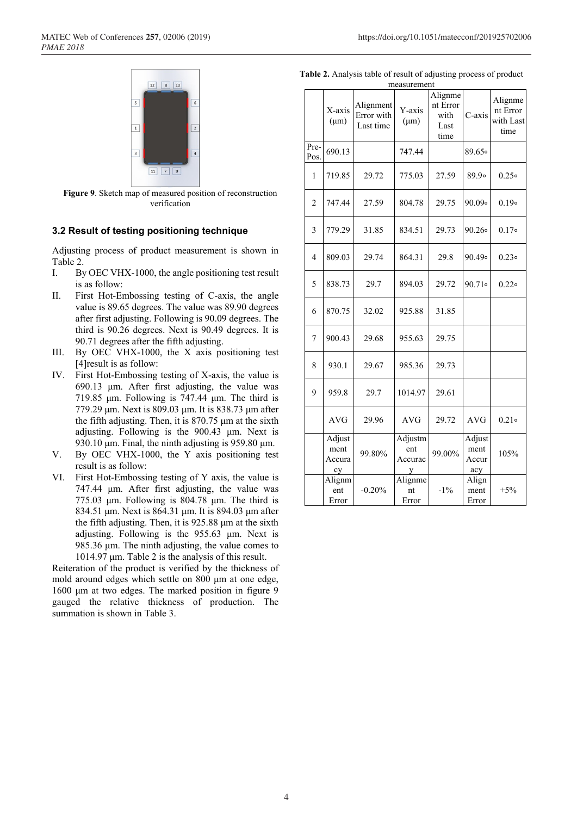

**Figure 9**. Sketch map of measured position of reconstruction verification

#### **3.2 Result of testing positioning technique**

Adjusting process of product measurement is shown in Table 2.

- I. By OEC VHX-1000, the angle positioning test result is as follow:
- II. First Hot-Embossing testing of C-axis, the angle value is 89.65 degrees. The value was 89.90 degrees after first adjusting. Following is 90.09 degrees. The third is 90.26 degrees. Next is 90.49 degrees. It is 90.71 degrees after the fifth adjusting.
- III. By OEC VHX-1000, the X axis positioning test [4] result is as follow:
- IV. First Hot-Embossing testing of X-axis, the value is 690.13 μm. After first adjusting, the value was 719.85 μm. Following is 747.44 μm. The third is 779.29 μm. Next is 809.03 μm. It is 838.73 μm after the fifth adjusting. Then, it is  $870.75 \mu m$  at the sixth adjusting. Following is the 900.43 μm. Next is 930.10 μm. Final, the ninth adjusting is 959.80 μm.
- V. By OEC VHX-1000, the Y axis positioning test result is as follow:
- VI. First Hot-Embossing testing of Y axis, the value is 747.44 μm. After first adjusting, the value was 775.03 μm. Following is 804.78 μm. The third is 834.51 μm. Next is 864.31 μm. It is 894.03 μm after the fifth adjusting. Then, it is 925.88 μm at the sixth adjusting. Following is the 955.63 μm. Next is 985.36 μm. The ninth adjusting, the value comes to 1014.97 μm. Table 2 is the analysis of this result.

Reiteration of the product is verified by the thickness of mold around edges which settle on 800 μm at one edge, 1600 μm at two edges. The marked position in figure 9 gauged the relative thickness of production. The summation is shown in Table 3.

| Table 2. Analysis table of result of adjusting process of product |  |  |  |  |
|-------------------------------------------------------------------|--|--|--|--|
|                                                                   |  |  |  |  |

| measurement    |                                |                                      |                                |                                             |                                |                                          |
|----------------|--------------------------------|--------------------------------------|--------------------------------|---------------------------------------------|--------------------------------|------------------------------------------|
|                | X-axis<br>$(\mu m)$            | Alignment<br>Error with<br>Last time | Y-axis<br>$(\mu m)$            | Alignme<br>nt Error<br>with<br>Last<br>time | C-axis                         | Alignme<br>nt Error<br>with Last<br>time |
| Pre-<br>Pos.   | 690.13                         |                                      | 747.44                         |                                             | 89.650                         |                                          |
| $\mathbf{1}$   | 719.85                         | 29.72                                | 775.03                         | 27.59                                       | 89.90                          | 0.25                                     |
| $\overline{c}$ | 747.44                         | 27.59                                | 804.78                         | 29.75                                       | $90.09$ °                      | $0.19$ $\circ$                           |
| 3              | 779.29                         | 31.85                                | 834.51                         | 29.73                                       | 90.26                          | $0.17$ $\circ$                           |
| $\overline{4}$ | 809.03                         | 29.74                                | 864.31                         | 29.8                                        | 90.49。                         | 0.23                                     |
| 5              | 838.73                         | 29.7                                 | 894.03                         | 29.72                                       | 90.71                          | 0.22                                     |
| 6              | 870.75                         | 32.02                                | 925.88                         | 31.85                                       |                                |                                          |
| 7              | 900.43                         | 29.68                                | 955.63                         | 29.75                                       |                                |                                          |
| 8              | 930.1                          | 29.67                                | 985.36                         | 29.73                                       |                                |                                          |
| 9              | 959.8                          | 29.7                                 | 1014.97                        | 29.61                                       |                                |                                          |
|                | <b>AVG</b>                     | 29.96                                | <b>AVG</b>                     | 29.72                                       | <b>AVG</b>                     | 0.21                                     |
|                | Adjust<br>ment<br>Accura<br>cy | 99.80%                               | Adjustm<br>ent<br>Accurac<br>y | 99.00%                                      | Adjust<br>ment<br>Accur<br>acy | 105%                                     |
|                | Alignm<br>ent<br>Error         | $-0.20%$                             | Alignme<br>nt<br>Error         | $-1\%$                                      | Align<br>ment<br>Error         | $+5%$                                    |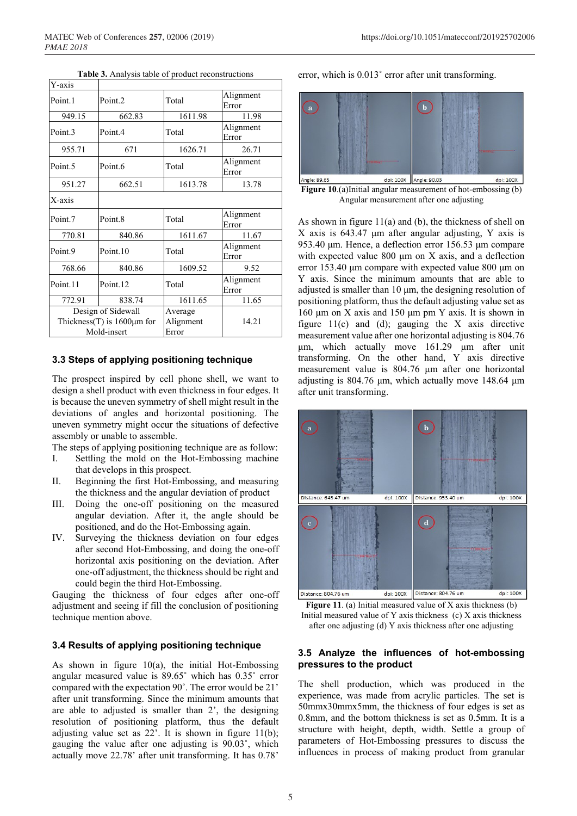| Y-axis              |                                                                       |                               |                    |
|---------------------|-----------------------------------------------------------------------|-------------------------------|--------------------|
| Point <sub>1</sub>  | Point <sub>2</sub>                                                    | Total                         | Alignment<br>Error |
| 949.15              | 662.83                                                                | 1611.98                       | 11.98              |
| Point.3             | Point <sub>4</sub>                                                    | Total                         | Alignment<br>Error |
| 955.71              | 671                                                                   | 1626.71                       | 26.71              |
| Point <sub>.5</sub> | Point.6                                                               | Total                         | Alignment<br>Error |
| 951.27              | 662.51                                                                | 1613.78                       | 13.78              |
| X-axis              |                                                                       |                               |                    |
| Point <sub>7</sub>  | Point 8                                                               | Total                         | Alignment<br>Error |
| 770.81              | 840.86                                                                | 1611.67                       | 11.67              |
| Point.9             | Point <sub>10</sub>                                                   | Total                         | Alignment<br>Error |
| 768.66              | 840.86                                                                | 1609.52                       | 9.52               |
| Point <sub>11</sub> | Point.12                                                              | Total                         | Alignment<br>Error |
| 772.91              | 838.74                                                                | 1611.65                       | 11.65              |
|                     | Design of Sidewall<br>Thickness(T) is $1600 \mu m$ for<br>Mold-insert | Average<br>Alignment<br>Error | 14.21              |

**Table 3.** Analysis table of product reconstructions

#### **3.3 Steps of applying positioning technique**

The prospect inspired by cell phone shell, we want to design a shell product with even thickness in four edges. It is because the uneven symmetry of shell might result in the deviations of angles and horizontal positioning. The uneven symmetry might occur the situations of defective assembly or unable to assemble.

The steps of applying positioning technique are as follow:

- I. Settling the mold on the Hot-Embossing machine that develops in this prospect.
- II. Beginning the first Hot-Embossing, and measuring the thickness and the angular deviation of product
- III. Doing the one-off positioning on the measured angular deviation. After it, the angle should be positioned, and do the Hot-Embossing again.
- IV. Surveying the thickness deviation on four edges after second Hot-Embossing, and doing the one-off horizontal axis positioning on the deviation. After one-off adjustment, the thickness should be right and could begin the third Hot-Embossing.

Gauging the thickness of four edges after one-off adjustment and seeing if fill the conclusion of positioning technique mention above.

### **3.4 Results of applying positioning technique**

As shown in figure  $10(a)$ , the initial Hot-Embossing angular measured value is 89.65˚ which has 0.35˚ error compared with the expectation 90˚. The error would be 21' after unit transforming. Since the minimum amounts that are able to adjusted is smaller than 2', the designing resolution of positioning platform, thus the default adjusting value set as  $22^\circ$ . It is shown in figure 11(b); gauging the value after one adjusting is 90.03˚, which actually move 22.78' after unit transforming. It has 0.78'

error, which is 0.013˚ error after unit transforming.



**Figure 10**.(a)Initial angular measurement of hot-embossing (b) Angular measurement after one adjusting

As shown in figure 11(a) and (b), the thickness of shell on X axis is 643.47 μm after angular adjusting, Y axis is 953.40 μm. Hence, a deflection error 156.53 μm compare with expected value 800 μm on X axis, and a deflection error 153.40 μm compare with expected value 800 μm on Y axis. Since the minimum amounts that are able to adjusted is smaller than 10 μm, the designing resolution of positioning platform, thus the default adjusting value set as 160 μm on X axis and 150 μm pm Y axis. It is shown in figure  $11(c)$  and (d); gauging the X axis directive measurement value after one horizontal adjusting is 804.76 μm, which actually move 161.29 μm after unit transforming. On the other hand, Y axis directive measurement value is 804.76 μm after one horizontal adjusting is 804.76 μm, which actually move 148.64 μm after unit transforming.



**Figure 11**. (a) Initial measured value of X axis thickness (b) Initial measured value of Y axis thickness (c) X axis thickness after one adjusting (d) Y axis thickness after one adjusting

### **3.5 Analyze the influences of hot-embossing pressures to the product**

The shell production, which was produced in the experience, was made from acrylic particles. The set is 50mmx30mmx5mm, the thickness of four edges is set as 0.8mm, and the bottom thickness is set as 0.5mm. It is a structure with height, depth, width. Settle a group of parameters of Hot-Embossing pressures to discuss the influences in process of making product from granular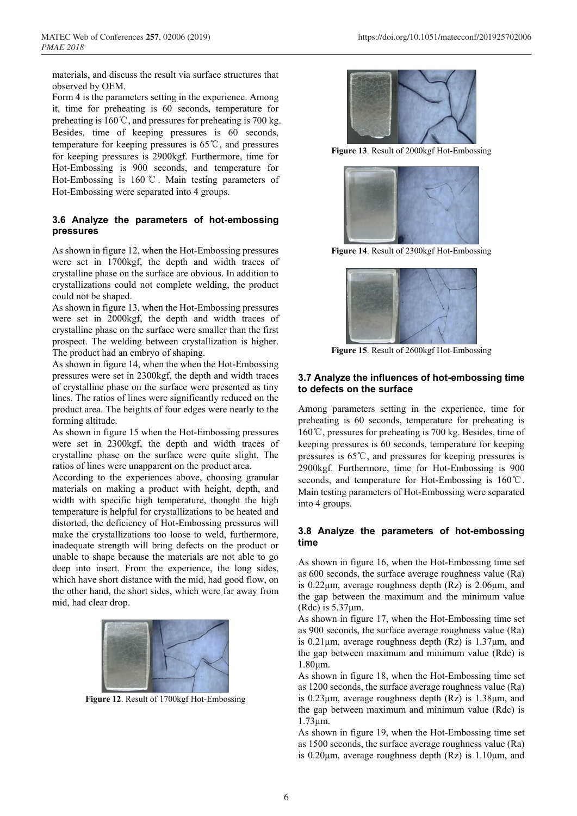materials, and discuss the result via surface structures that observed by OEM.

Form 4 is the parameters setting in the experience. Among it, time for preheating is 60 seconds, temperature for preheating is 160℃, and pressures for preheating is 700 kg. Besides, time of keeping pressures is 60 seconds, temperature for keeping pressures is 65℃, and pressures for keeping pressures is 2900kgf. Furthermore, time for Hot-Embossing is 900 seconds, and temperature for Hot-Embossing is 160℃. Main testing parameters of Hot-Embossing were separated into 4 groups.

## **3.6 Analyze the parameters of hot-embossing pressures**

As shown in figure 12, when the Hot-Embossing pressures were set in 1700kgf, the depth and width traces of crystalline phase on the surface are obvious. In addition to crystallizations could not complete welding, the product could not be shaped.

As shown in figure 13, when the Hot-Embossing pressures were set in 2000kgf, the depth and width traces of crystalline phase on the surface were smaller than the first prospect. The welding between crystallization is higher. The product had an embryo of shaping.

As shown in figure 14, when the when the Hot-Embossing pressures were set in 2300kgf, the depth and width traces of crystalline phase on the surface were presented as tiny lines. The ratios of lines were significantly reduced on the product area. The heights of four edges were nearly to the forming altitude.

As shown in figure 15 when the Hot-Embossing pressures were set in 2300kgf, the depth and width traces of crystalline phase on the surface were quite slight. The ratios of lines were unapparent on the product area.

According to the experiences above, choosing granular materials on making a product with height, depth, and width with specific high temperature, thought the high temperature is helpful for crystallizations to be heated and distorted, the deficiency of Hot-Embossing pressures will make the crystallizations too loose to weld, furthermore, inadequate strength will bring defects on the product or unable to shape because the materials are not able to go deep into insert. From the experience, the long sides, which have short distance with the mid, had good flow, on the other hand, the short sides, which were far away from mid, had clear drop.



**Figure 12**. Result of 1700kgf Hot-Embossing



**Figure 13**. Result of 2000kgf Hot-Embossing



**Figure 14**. Result of 2300kgf Hot-Embossing



**Figure 15**. Result of 2600kgf Hot-Embossing

### **3.7 Analyze the influences of hot-embossing time to defects on the surface**

Among parameters setting in the experience, time for preheating is 60 seconds, temperature for preheating is 160℃, pressures for preheating is 700 kg. Besides, time of keeping pressures is 60 seconds, temperature for keeping pressures is 65℃, and pressures for keeping pressures is 2900kgf. Furthermore, time for Hot-Embossing is 900 seconds, and temperature for Hot-Embossing is 160℃. Main testing parameters of Hot-Embossing were separated into 4 groups.

### **3.8 Analyze the parameters of hot-embossing time**

As shown in figure 16, when the Hot-Embossing time set as 600 seconds, the surface average roughness value (Ra) is 0.22μm, average roughness depth (Rz) is 2.06μm, and the gap between the maximum and the minimum value (Rdc) is  $5.37 \mu$ m.

As shown in figure 17, when the Hot-Embossing time set as 900 seconds, the surface average roughness value (Ra) is 0.21μm, average roughness depth (Rz) is 1.37μm, and the gap between maximum and minimum value (Rdc) is 1.80μm.

As shown in figure 18, when the Hot-Embossing time set as 1200 seconds, the surface average roughness value (Ra) is 0.23μm, average roughness depth (Rz) is 1.38μm, and the gap between maximum and minimum value (Rdc) is 1.73μm.

As shown in figure 19, when the Hot-Embossing time set as 1500 seconds, the surface average roughness value (Ra) is 0.20μm, average roughness depth (Rz) is 1.10μm, and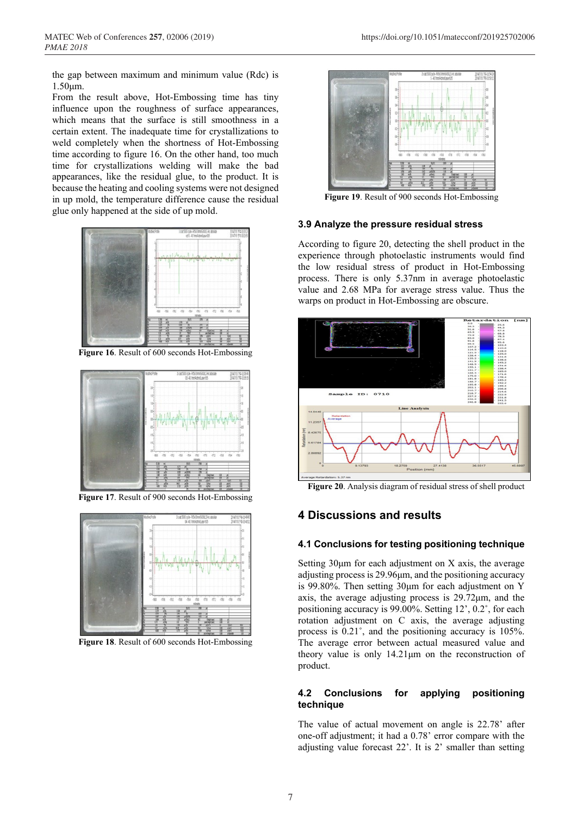the gap between maximum and minimum value (Rdc) is 1.50μm.

From the result above, Hot-Embossing time has tiny influence upon the roughness of surface appearances, which means that the surface is still smoothness in a certain extent. The inadequate time for crystallizations to weld completely when the shortness of Hot-Embossing time according to figure 16. On the other hand, too much time for crystallizations welding will make the bad appearances, like the residual glue, to the product. It is because the heating and cooling systems were not designed in up mold, the temperature difference cause the residual glue only happened at the side of up mold.



**Figure 16**. Result of 600 seconds Hot-Embossing



**Figure 17**. Result of 900 seconds Hot-Embossing



**Figure 18**. Result of 600 seconds Hot-Embossing



**Figure 19**. Result of 900 seconds Hot-Embossing

#### **3.9 Analyze the pressure residual stress**

According to figure 20, detecting the shell product in the experience through photoelastic instruments would find the low residual stress of product in Hot-Embossing process. There is only 5.37nm in average photoelastic value and 2.68 MPa for average stress value. Thus the warps on product in Hot-Embossing are obscure.



**Figure 20**. Analysis diagram of residual stress of shell product

# **4 Discussions and results**

### **4.1 Conclusions for testing positioning technique**

Setting  $30\mu$ m for each adjustment on X axis, the average adjusting process is 29.96μm, and the positioning accuracy is 99.80%. Then setting 30μm for each adjustment on Y axis, the average adjusting process is 29.72μm, and the positioning accuracy is 99.00%. Setting 12', 0.2˚, for each rotation adjustment on C axis, the average adjusting process is 0.21˚, and the positioning accuracy is 105%. The average error between actual measured value and theory value is only 14.21μm on the reconstruction of product.

### **4.2 Conclusions for applying positioning technique**

The value of actual movement on angle is 22.78' after one-off adjustment; it had a 0.78' error compare with the adjusting value forecast 22'. It is 2' smaller than setting